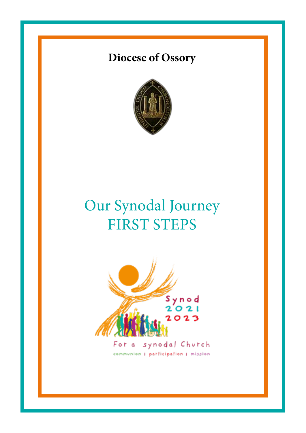# **Diocese of Ossory**



# Our Synodal Journey FIRST STEPS

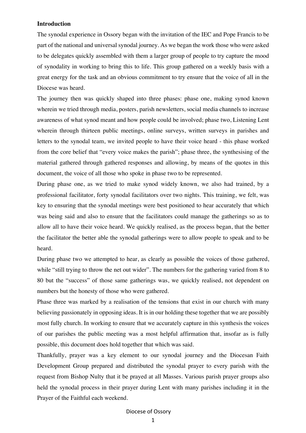#### **Introduction**

The synodal experience in Ossory began with the invitation of the IEC and Pope Francis to be part of the national and universal synodal journey. As we began the work those who were asked to be delegates quickly assembled with them a larger group of people to try capture the mood of synodality in working to bring this to life. This group gathered on a weekly basis with a great energy for the task and an obvious commitment to try ensure that the voice of all in the Diocese was heard.

The journey then was quickly shaped into three phases: phase one, making synod known wherein we tried through media, posters, parish newsletters, social media channels to increase awareness of what synod meant and how people could be involved; phase two, Listening Lent wherein through thirteen public meetings, online surveys, written surveys in parishes and letters to the synodal team, we invited people to have their voice heard - this phase worked from the core belief that "every voice makes the parish"; phase three, the synthesising of the material gathered through gathered responses and allowing, by means of the quotes in this document, the voice of all those who spoke in phase two to be represented.

During phase one, as we tried to make synod widely known, we also had trained, by a professional facilitator, forty synodal facilitators over two nights. This training, we felt, was key to ensuring that the synodal meetings were best positioned to hear accurately that which was being said and also to ensure that the facilitators could manage the gatherings so as to allow all to have their voice heard. We quickly realised, as the process began, that the better the facilitator the better able the synodal gatherings were to allow people to speak and to be heard.

During phase two we attempted to hear, as clearly as possible the voices of those gathered, while "still trying to throw the net out wider". The numbers for the gathering varied from 8 to 80 but the "success" of those same gatherings was, we quickly realised, not dependent on numbers but the honesty of those who were gathered.

Phase three was marked by a realisation of the tensions that exist in our church with many believing passionately in opposing ideas. It is in our holding these together that we are possibly most fully church. In working to ensure that we accurately capture in this synthesis the voices of our parishes the public meeting was a most helpful affirmation that, insofar as is fully possible, this document does hold together that which was said.

Thankfully, prayer was a key element to our synodal journey and the Diocesan Faith Development Group prepared and distributed the synodal prayer to every parish with the request from Bishop Nulty that it be prayed at all Masses. Various parish prayer groups also held the synodal process in their prayer during Lent with many parishes including it in the Prayer of the Faithful each weekend.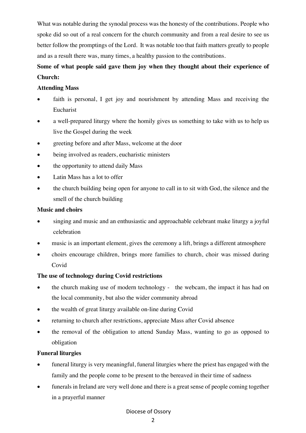What was notable during the synodal process was the honesty of the contributions. People who spoke did so out of a real concern for the church community and from a real desire to see us better follow the promptings of the Lord. It was notable too that faith matters greatly to people and as a result there was, many times, a healthy passion to the contributions.

# **Some of what people said gave them joy when they thought about their experience of Church:**

# **Attending Mass**

- faith is personal. I get joy and nourishment by attending Mass and receiving the Eucharist
- a well-prepared liturgy where the homily gives us something to take with us to help us live the Gospel during the week
- greeting before and after Mass, welcome at the door
- being involved as readers, eucharistic ministers
- the opportunity to attend daily Mass
- Latin Mass has a lot to offer
- the church building being open for anyone to call in to sit with God, the silence and the smell of the church building

# **Music and choirs**

- singing and music and an enthusiastic and approachable celebrant make liturgy a joyful celebration
- music is an important element, gives the ceremony a lift, brings a different atmosphere
- choirs encourage children, brings more families to church, choir was missed during Covid

# **The use of technology during Covid restrictions**

- the church making use of modern technology the webcam, the impact it has had on the local community, but also the wider community abroad
- the wealth of great liturgy available on-line during Covid
- returning to church after restrictions, appreciate Mass after Covid absence
- the removal of the obligation to attend Sunday Mass, wanting to go as opposed to obligation

# **Funeral liturgies**

- funeral liturgy is very meaningful, funeral liturgies where the priest has engaged with the family and the people come to be present to the bereaved in their time of sadness
- funerals in Ireland are very well done and there is a great sense of people coming together in a prayerful manner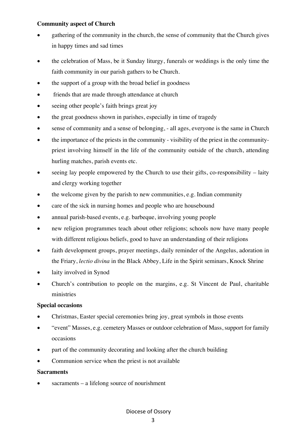# **Community aspect of Church**

- gathering of the community in the church, the sense of community that the Church gives in happy times and sad times
- the celebration of Mass, be it Sunday liturgy, funerals or weddings is the only time the faith community in our parish gathers to be Church.
- the support of a group with the broad belief in goodness
- friends that are made through attendance at church
- seeing other people's faith brings great joy
- the great goodness shown in parishes, especially in time of tragedy
- sense of community and a sense of belonging, all ages, everyone is the same in Church
- the importance of the priests in the community visibility of the priest in the communitypriest involving himself in the life of the community outside of the church, attending hurling matches, parish events etc.
- $\bullet$  seeing lay people empowered by the Church to use their gifts, co-responsibility laity and clergy working together
- the welcome given by the parish to new communities, e.g. Indian community
- care of the sick in nursing homes and people who are housebound
- annual parish-based events, e.g. barbeque, involving young people
- new religion programmes teach about other religions; schools now have many people with different religious beliefs, good to have an understanding of their religions
- faith development groups, prayer meetings, daily reminder of the Angelus, adoration in the Friary, *lectio divina* in the Black Abbey, Life in the Spirit seminars, Knock Shrine
- laity involved in Synod
- Church's contribution to people on the margins, e.g. St Vincent de Paul, charitable ministries

# **Special occasions**

- Christmas, Easter special ceremonies bring joy, great symbols in those events
- "event" Masses, e.g. cemetery Masses or outdoor celebration of Mass, support for family occasions
- part of the community decorating and looking after the church building
- Communion service when the priest is not available

#### **Sacraments**

 $sacraments - a lifelong source of nonreisment$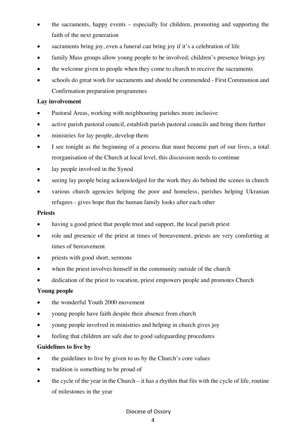- the sacraments, happy events especially for children, promoting and supporting the faith of the next generation
- sacraments bring joy, even a funeral can bring joy if it's a celebration of life
- family Mass groups allow young people to be involved; children's presence brings joy
- the welcome given to people when they come to church to receive the sacraments
- schools do great work for sacraments and should be commended First Communion and Confirmation preparation programmes

# **Lay involvement**

- Pastoral Areas, working with neighbouring parishes more inclusive
- active parish pastoral council, establish parish pastoral councils and bring them further
- ministries for lay people, develop them
- I see tonight as the beginning of a process that must become part of our lives, a total reorganisation of the Church at local level, this discussion needs to continue
- lay people involved in the Synod
- seeing lay people being acknowledged for the work they do behind the scenes in church
- various church agencies helping the poor and homeless, parishes helping Ukranian refugees - gives hope that the human family looks after each other

#### **Priests**

- having a good priest that people trust and support, the local parish priest
- role and presence of the priest at times of bereavement, priests are very comforting at times of bereavement
- priests with good short, sermons
- when the priest involves himself in the community outside of the church
- dedication of the priest to vocation, priest empowers people and promotes Church

# **Young people**

- the wonderful Youth 2000 movement
- young people have faith despite their absence from church
- young people involved in ministries and helping in church gives joy
- feeling that children are safe due to good safeguarding procedures

# **Guidelines to live by**

- the guidelines to live by given to us by the Church's core values
- tradition is something to be proud of
- the cycle of the year in the Church it has a rhythm that fits with the cycle of life, routine of milestones in the year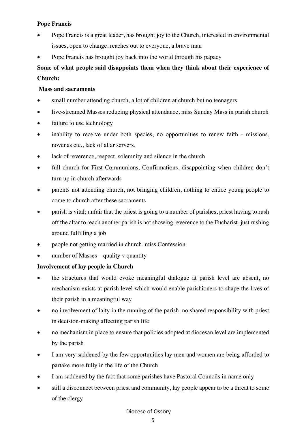# **Pope Francis**

- Pope Francis is a great leader, has brought joy to the Church, interested in environmental issues, open to change, reaches out to everyone, a brave man
- Pope Francis has brought joy back into the world through his papacy

# **Some of what people said disappoints them when they think about their experience of Church:**

# **Mass and sacraments**

- small number attending church, a lot of children at church but no teenagers
- live-streamed Masses reducing physical attendance, miss Sunday Mass in parish church
- failure to use technology
- inability to receive under both species, no opportunities to renew faith missions, novenas etc., lack of altar servers,
- lack of reverence, respect, solemnity and silence in the church
- full church for First Communions, Confirmations, disappointing when children don't turn up in church afterwards
- parents not attending church, not bringing children, nothing to entice young people to come to church after these sacraments
- parish is vital; unfair that the priest is going to a number of parishes, priest having to rush off the altar to reach another parish is not showing reverence to the Eucharist, just rushing around fulfilling a job
- people not getting married in church, miss Confession
- number of Masses quality y quantity

# **Involvement of lay people in Church**

- the structures that would evoke meaningful dialogue at parish level are absent, no mechanism exists at parish level which would enable parishioners to shape the lives of their parish in a meaningful way
- no involvement of laity in the running of the parish, no shared responsibility with priest in decision-making affecting parish life
- no mechanism in place to ensure that policies adopted at diocesan level are implemented by the parish
- I am very saddened by the few opportunities lay men and women are being afforded to partake more fully in the life of the Church
- I am saddened by the fact that some parishes have Pastoral Councils in name only
- still a disconnect between priest and community, lay people appear to be a threat to some of the clergy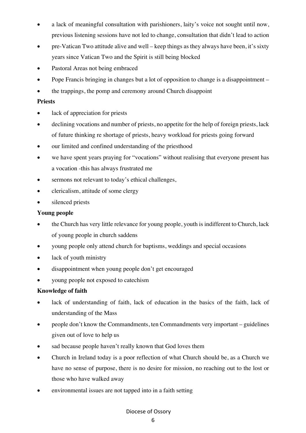- a lack of meaningful consultation with parishioners, laity's voice not sought until now, previous listening sessions have not led to change, consultation that didn't lead to action
- pre-Vatican Two attitude alive and well keep things as they always have been, it's sixty years since Vatican Two and the Spirit is still being blocked
- Pastoral Areas not being embraced
- Pope Francis bringing in changes but a lot of opposition to change is a disappointment –
- the trappings, the pomp and ceremony around Church disappoint

# **Priests**

- lack of appreciation for priests
- declining vocations and number of priests, no appetite for the help of foreign priests, lack of future thinking re shortage of priests, heavy workload for priests going forward
- our limited and confined understanding of the priesthood
- we have spent years praying for "vocations" without realising that everyone present has a vocation -this has always frustrated me
- sermons not relevant to today's ethical challenges,
- clericalism, attitude of some clergy
- silenced priests

# **Young people**

- the Church has very little relevance for young people, youth is indifferent to Church, lack of young people in church saddens
- young people only attend church for baptisms, weddings and special occasions
- lack of youth ministry
- disappointment when young people don't get encouraged
- young people not exposed to catechism

# **Knowledge of faith**

- lack of understanding of faith, lack of education in the basics of the faith, lack of understanding of the Mass
- people don't know the Commandments, ten Commandments very important guidelines given out of love to help us
- sad because people haven't really known that God loves them
- Church in Ireland today is a poor reflection of what Church should be, as a Church we have no sense of purpose, there is no desire for mission, no reaching out to the lost or those who have walked away
- environmental issues are not tapped into in a faith setting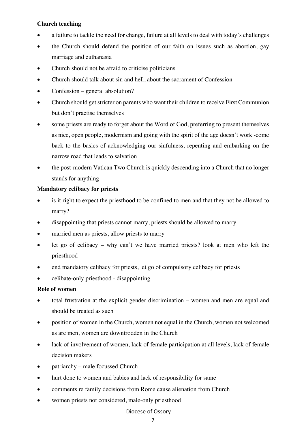# **Church teaching**

- a failure to tackle the need for change, failure at all levels to deal with today's challenges
- the Church should defend the position of our faith on issues such as abortion, gay marriage and euthanasia
- Church should not be afraid to criticise politicians
- Church should talk about sin and hell, about the sacrament of Confession
- Confession general absolution?
- Church should get stricter on parents who want their children to receive First Communion but don't practise themselves
- some priests are ready to forget about the Word of God, preferring to present themselves as nice, open people, modernism and going with the spirit of the age doesn't work -come back to the basics of acknowledging our sinfulness, repenting and embarking on the narrow road that leads to salvation
- the post-modern Vatican Two Church is quickly descending into a Church that no longer stands for anything

# **Mandatory celibacy for priests**

- is it right to expect the priesthood to be confined to men and that they not be allowed to marry?
- disappointing that priests cannot marry, priests should be allowed to marry
- married men as priests, allow priests to marry
- let go of celibacy why can't we have married priests? look at men who left the priesthood
- end mandatory celibacy for priests, let go of compulsory celibacy for priests
- celibate-only priesthood disappointing

# **Role of women**

- total frustration at the explicit gender discrimination women and men are equal and should be treated as such
- position of women in the Church, women not equal in the Church, women not welcomed as are men, women are downtrodden in the Church
- lack of involvement of women, lack of female participation at all levels, lack of female decision makers
- patriarchy male focussed Church
- hurt done to women and babies and lack of responsibility for same
- comments re family decisions from Rome cause alienation from Church
- women priests not considered, male-only priesthood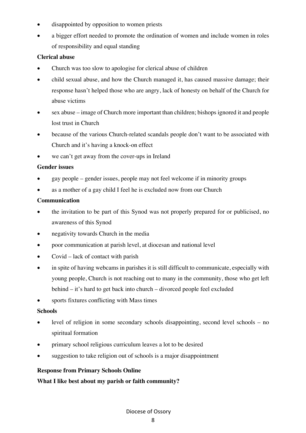- disappointed by opposition to women priests
- a bigger effort needed to promote the ordination of women and include women in roles of responsibility and equal standing

# **Clerical abuse**

- Church was too slow to apologise for clerical abuse of children
- child sexual abuse, and how the Church managed it, has caused massive damage; their response hasn't helped those who are angry, lack of honesty on behalf of the Church for abuse victims
- sex abuse image of Church more important than children; bishops ignored it and people lost trust in Church
- because of the various Church-related scandals people don't want to be associated with Church and it's having a knock-on effect
- we can't get away from the cover-ups in Ireland

# **Gender issues**

- gay people gender issues, people may not feel welcome if in minority groups
- as a mother of a gay child I feel he is excluded now from our Church

# **Communication**

- the invitation to be part of this Synod was not properly prepared for or publicised, no awareness of this Synod
- negativity towards Church in the media
- poor communication at parish level, at diocesan and national level
- Covid lack of contact with parish
- in spite of having webcams in parishes it is still difficult to communicate, especially with young people, Church is not reaching out to many in the community, those who get left behind – it's hard to get back into church – divorced people feel excluded
- sports fixtures conflicting with Mass times

# **Schools**

- level of religion in some secondary schools disappointing, second level schools no spiritual formation
- primary school religious curriculum leaves a lot to be desired
- suggestion to take religion out of schools is a major disappointment

# **Response from Primary Schools Online**

**What I like best about my parish or faith community?**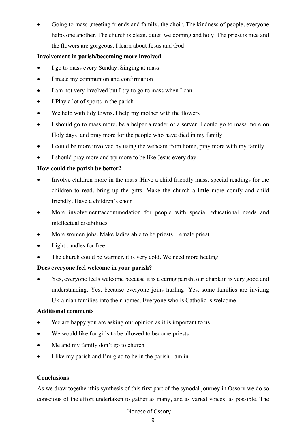Going to mass , meeting friends and family, the choir. The kindness of people, everyone helps one another. The church is clean, quiet, welcoming and holy. The priest is nice and the flowers are gorgeous. I learn about Jesus and God

# **Involvement in parish/becoming more involved**

- I go to mass every Sunday. Singing at mass
- I made my communion and confirmation
- I am not very involved but I try to go to mass when I can
- I Play a lot of sports in the parish
- We help with tidy towns. I help my mother with the flowers
- I should go to mass more, be a helper a reader or a server. I could go to mass more on Holy days and pray more for the people who have died in my family
- I could be more involved by using the webcam from home, pray more with my family
- I should pray more and try more to be like Jesus every day

# **How could the parish be better?**

- Involve children more in the mass .Have a child friendly mass, special readings for the children to read, bring up the gifts. Make the church a little more comfy and child friendly. Have a children's choir
- More involvement/accommodation for people with special educational needs and intellectual disabilities
- More women jobs. Make ladies able to be priests. Female priest
- Light candles for free.
- The church could be warmer, it is very cold. We need more heating

# **Does everyone feel welcome in your parish?**

• Yes, everyone feels welcome because it is a caring parish, our chaplain is very good and understanding. Yes, because everyone joins hurling. Yes, some families are inviting Ukrainian families into their homes. Everyone who is Catholic is welcome

# **Additional comments**

- We are happy you are asking our opinion as it is important to us
- We would like for girls to be allowed to become priests
- Me and my family don't go to church
- I like my parish and I'm glad to be in the parish I am in

# **Conclusions**

As we draw together this synthesis of this first part of the synodal journey in Ossory we do so conscious of the effort undertaken to gather as many, and as varied voices, as possible. The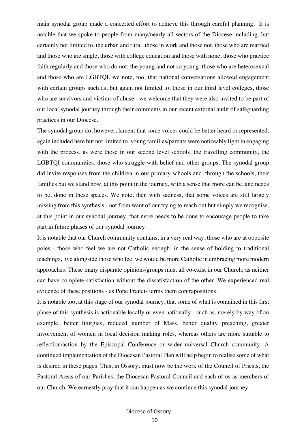main synodal group made a concerted effort to achieve this through careful planning. It is notable that we spoke to people from many/nearly all sectors of the Diocese including, but certainly not limited to, the urban and rural, those in work and those not, those who are married and those who are single, those with college education and those with none; those who practice faith regularly and those who do not; the young and not so young, those who are heterosexual and those who are LGBTQI, we note, too, that national conversations allowed engagement with certain groups such as, but again not limited to, those in our third level colleges, those who are survivors and victims of abuse - we welcome that they were also invited to be part of our local synodal journey through their comments in our recent external audit of safeguarding practices in our Diocese.

The synodal group do, however, lament that some voices could be better heard or represented, again included here but not limited to, young families/parents were noticeably light in engaging with the process, as were those in our second level schools, the travelling community, the LGBTQI communities, those who struggle with belief and other groups. The synodal group did invite responses from the children in our primary schools and, through the schools, their families but we stand now, at this point in the journey, with a sense that more can be, and needs to be, done in these spaces. We note, then with sadness, that some voices are still largely missing from this synthesis - not from want of our trying to reach out but simply we recognise, at this point in our synodal journey, that more needs to be done to encourage people to take part in future phases of our synodal journey.

It is notable that our Church community contains, in a very real way, those who are at opposite poles - those who feel we are not Catholic enough, in the sense of holding to traditional teachings, live alongside those who feel we would be more Catholic in embracing more modern approaches. These many disparate opinions/groups must all co-exist in our Church; as neither can have complete satisfaction without the dissatisfaction of the other. We experienced real evidence of these positions - as Pope Francis terms them contrapositions.

It is notable too, at this stage of our synodal journey, that some of what is contained in this first phase of this synthesis is actionable locally or even nationally - such as, merely by way of an example, better liturgies, reduced number of Mass, better quality preaching, greater involvement of women in local decision making roles, whereas others are more suitable to reflection/action by the Episcopal Conference or wider universal Church community. A continued implementation of the Diocesan Pastoral Plan will help begin to realise some of what is desired in these pages. This, in Ossory, must now be the work of the Council of Priests, the Pastoral Areas of our Parishes, the Diocesan Pastoral Council and each of us as members of our Church. We earnestly pray that it can happen as we continue this synodal journey.